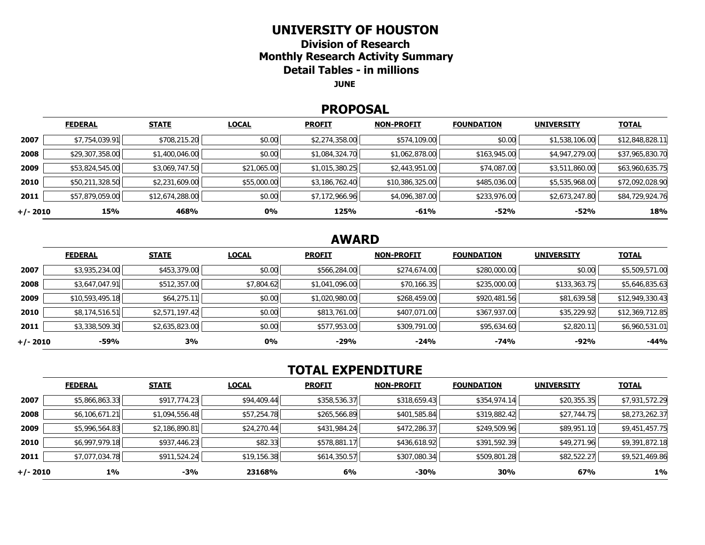#### **UNIVERSITY OF HOUSTON**

**Division of Research Monthly Research Activity Summary Detail Tables - in millions** 

**JUNE** 

#### **PROPOSAL**

|            | <b>FEDERAL</b>  | <b>STATE</b>    | <b>LOCAL</b> | <b>PROFIT</b>  | <b>NON-PROFIT</b> | <b>FOUNDATION</b> | <b>UNIVERSITY</b> | <b>TOTAL</b>    |
|------------|-----------------|-----------------|--------------|----------------|-------------------|-------------------|-------------------|-----------------|
| 2007       | \$7,754,039.91  | \$708,215.20    | \$0.00       | \$2,274,358.00 | \$574,109.00      | \$0.00            | \$1,538,106.00    | \$12,848,828.11 |
| 2008       | \$29,307,358.00 | \$1,400,046.00  | \$0.00       | \$1,084,324.70 | \$1,062,878.00    | \$163,945.00      | \$4,947,279.00    | \$37,965,830.70 |
| 2009       | \$53,824,545.00 | \$3,069,747.50  | \$21,065.00  | \$1,015,380.25 | \$2,443,951.00    | \$74,087.00       | \$3,511,860.00    | \$63,960,635.75 |
| 2010       | \$50,211,328.50 | \$2,231,609.00  | \$55,000.00  | \$3,186,762.40 | \$10,386,325.00   | \$485,036.00      | \$5,535,968.00    | \$72,092,028.90 |
| 2011       | \$57,879,059.00 | \$12,674,288.00 | \$0.00       | \$7,172,966.96 | \$4,096,387.00    | \$233,976.00      | \$2,673,247.80    | \$84,729,924.76 |
| $+/- 2010$ | 15%             | 468%            | 0%           | 125%           | $-61%$            | -52%              | $-52%$            | 18%             |

# **AWARD**

|          | <b>FEDERAL</b>  | <b>STATE</b>   | <b>LOCAL</b> | <b>PROFIT</b>  | <b>NON-PROFIT</b> | <b>FOUNDATION</b> | <b>UNIVERSITY</b> | <b>TOTAL</b>    |
|----------|-----------------|----------------|--------------|----------------|-------------------|-------------------|-------------------|-----------------|
| 2007     | \$3,935,234.00  | \$453,379.00   | \$0.00       | \$566,284.00   | \$274,674.00      | \$280,000.00      | \$0.00            | \$5,509,571.00  |
| 2008     | \$3,647,047.91  | \$512,357.00   | \$7,804.62   | \$1,041,096.00 | \$70,166.35       | \$235,000.00      | \$133,363.75      | \$5,646,835.63  |
| 2009     | \$10,593,495.18 | \$64,275.11    | \$0.00       | \$1,020,980.00 | \$268,459.00      | \$920,481.56      | \$81,639.58       | \$12,949,330.43 |
| 2010     | \$8,174,516.51  | \$2,571,197.42 | \$0.00       | \$813,761.00   | \$407,071.00      | \$367,937.00      | \$35,229.92       | \$12,369,712.85 |
| 2011     | \$3,338,509.30  | \$2,635,823.00 | \$0.00       | \$577,953.00   | \$309,791.00      | \$95,634.60       | \$2,820.11        | \$6,960,531.01  |
| +/- 2010 | $-59%$          | 3%             | 0%           | $-29%$         | $-24%$            | $-74%$            | $-92%$            | $-44%$          |

# **TOTAL EXPENDITURE**

|          | <b>FEDERAL</b> | <b>STATE</b>   | <b>LOCAL</b> | <b>PROFIT</b> | <b>NON-PROFIT</b> | <b>FOUNDATION</b> | <b>UNIVERSITY</b> | <b>TOTAL</b>   |
|----------|----------------|----------------|--------------|---------------|-------------------|-------------------|-------------------|----------------|
| 2007     | \$5,866,863.33 | \$917,774.23   | \$94,409.44  | \$358,536.37  | \$318,659.43      | \$354,974.14      | \$20,355.35       | \$7,931,572.29 |
| 2008     | \$6,106,671.21 | \$1,094,556.48 | \$57,254.78  | \$265,566.89  | \$401,585.84      | \$319,882.42      | \$27,744.75       | \$8,273,262.37 |
| 2009     | \$5,996,564.83 | \$2,186,890.81 | \$24,270.44  | \$431,984.24  | \$472,286.37      | \$249,509.96      | \$89,951.10       | \$9,451,457.75 |
| 2010     | \$6,997,979.18 | \$937,446.23   | \$82.33      | \$578,881.17  | \$436,618.92      | \$391,592.39      | \$49,271.96       | \$9,391,872.18 |
| 2011     | \$7,077,034.78 | \$911,524.24   | \$19,156.38  | \$614,350.57  | \$307,080.34      | \$509,801.28      | \$82,522.27       | \$9,521,469.86 |
| +/- 2010 | 1%             | $-3%$          | 23168%       | 6%            | $-30%$            | 30%               | 67%               | $1\%$          |